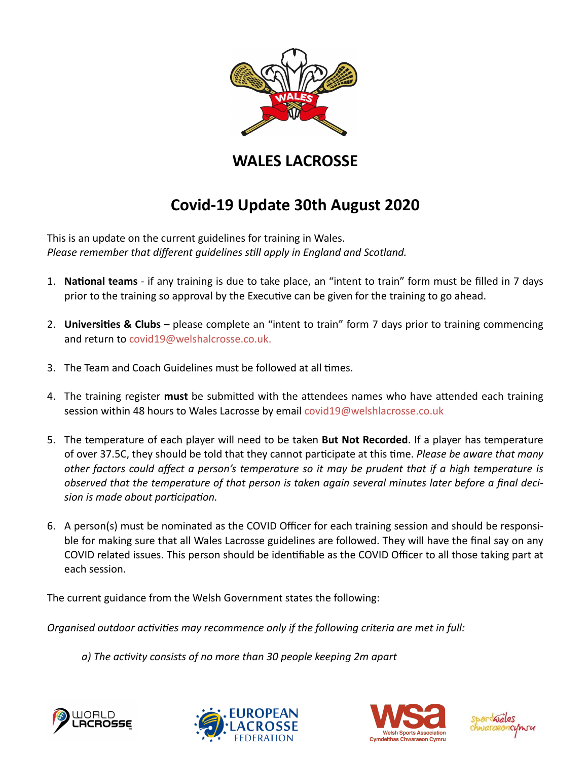

## **WALES LACROSSE**

## **Covid-19 Update 30th August 2020**

This is an update on the current guidelines for training in Wales. Please remember that different guidelines still apply in England and Scotland.

- 1. **National teams** if any training is due to take place, an "intent to train" form must be filled in 7 days prior to the training so approval by the Executive can be given for the training to go ahead.
- 2. **Universities & Clubs** please complete an "intent to train" form 7 days prior to training commencing and return to [covid19@welshalcrosse.co.uk.](mailto:covid19@welshalcrosse.co.uk)
- 3. The Team and Coach Guidelines must be followed at all times.
- 4. The training register **must** be submitted with the attendees names who have attended each training session within 48 hours to Wales Lacrosse by email [covid19@welshlacrosse.co.uk](mailto:covid19@welshlacrosse.co.uk)
- 5. The temperature of each player will need to be taken **But Not Recorded**. If a player has temperature of over 37.5C, they should be told that they cannot participate at this time. *Please be aware that many other factors could affect a person's temperature so it may be prudent that if a high temperature is observed that the temperature of that person is taken again several minutes later before a final decision is made about par2cipa2on.*
- 6. A person(s) must be nominated as the COVID Officer for each training session and should be responsible for making sure that all Wales Lacrosse guidelines are followed. They will have the final say on any COVID related issues. This person should be identifiable as the COVID Officer to all those taking part at each session.

The current guidance from the Welsh Government states the following:

*Organised outdoor activities may recommence only if the following criteria are met in full:* 

 *a) The ac2vity consists of no more than 30 people keeping 2m apart*